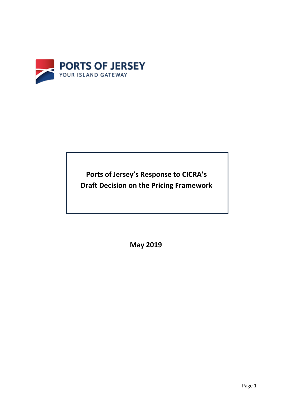

**Ports of Jersey's Response to CICRA's Draft Decision on the Pricing Framework** 

**May 2019**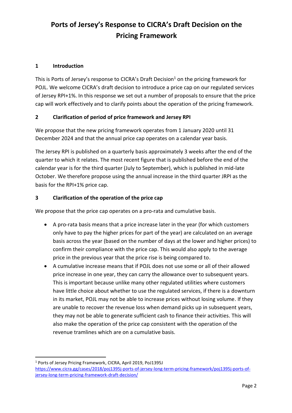# **Ports of Jersey's Response to CICRA's Draft Decision on the Pricing Framework**

#### **1 Introduction**

This is Ports of Jersey's response to CICRA's Draft Decision<sup>1</sup> on the pricing framework for POJL. We welcome CICRA's draft decision to introduce a price cap on our regulated services of Jersey RPI+1%. In this response we set out a number of proposals to ensure that the price cap will work effectively and to clarify points about the operation of the pricing framework.

#### **2 Clarification of period of price framework and Jersey RPI**

We propose that the new pricing framework operates from 1 January 2020 until 31 December 2024 and that the annual price cap operates on a calendar year basis.

The Jersey RPI is published on a quarterly basis approximately 3 weeks after the end of the quarter to which it relates. The most recent figure that is published before the end of the calendar year is for the third quarter (July to September), which is published in mid-late October. We therefore propose using the annual increase in the third quarter JRPI as the basis for the RPI+1% price cap.

#### **3 Clarification of the operation of the price cap**

We propose that the price cap operates on a pro-rata and cumulative basis.

- A pro-rata basis means that a price increase later in the year (for which customers only have to pay the higher prices for part of the year) are calculated on an average basis across the year (based on the number of days at the lower and higher prices) to confirm their compliance with the price cap. This would also apply to the average price in the previous year that the price rise is being compared to.
- A cumulative increase means that if POJL does not use some or all of their allowed price increase in one year, they can carry the allowance over to subsequent years. This is important because unlike many other regulated utilities where customers have little choice about whether to use the regulated services, if there is a downturn in its market, POJL may not be able to increase prices without losing volume. If they are unable to recover the revenue loss when demand picks up in subsequent years, they may not be able to generate sufficient cash to finance their activities. This will also make the operation of the price cap consistent with the operation of the revenue tramlines which are on a cumulative basis.

<sup>1</sup> Ports of Jersey Pricing Framework, CICRA, April 2019, PoJ1395J [https://www.cicra.gg/cases/2018/poj1395j-ports-of-jersey-long-term-pricing-framework/poj1395j-ports-of](https://www.cicra.gg/cases/2018/poj1395j-ports-of-jersey-long-term-pricing-framework/poj1395j-ports-of-jersey-long-term-pricing-framework-draft-decision/)[jersey-long-term-pricing-framework-draft-decision/](https://www.cicra.gg/cases/2018/poj1395j-ports-of-jersey-long-term-pricing-framework/poj1395j-ports-of-jersey-long-term-pricing-framework-draft-decision/)